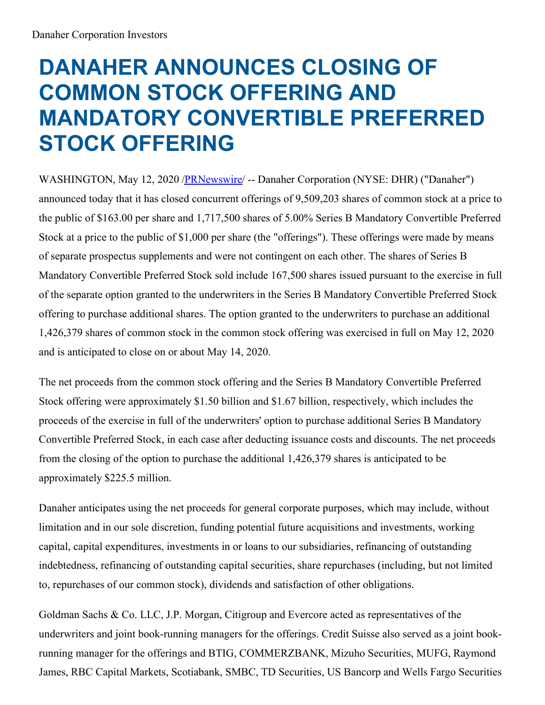## **DANAHER ANNOUNCES CLOSING OF COMMON STOCK OFFERING AND MANDATORY CONVERTIBLE PREFERRED STOCK OFFERING**

WASHINGTON, May 12, 2020 [/PRNewswire](http://www.prnewswire.com/) -- Danaher Corporation (NYSE: DHR) ("Danaher") announced today that it has closed concurrent offerings of 9,509,203 shares of common stock at a price to the public of \$163.00 per share and 1,717,500 shares of 5.00% Series B Mandatory Convertible Preferred Stock at a price to the public of \$1,000 per share (the "offerings"). These offerings were made by means of separate prospectus supplements and were not contingent on each other. The shares of Series B Mandatory Convertible Preferred Stock sold include 167,500 shares issued pursuant to the exercise in full of the separate option granted to the underwriters in the Series B Mandatory Convertible Preferred Stock offering to purchase additional shares. The option granted to the underwriters to purchase an additional 1,426,379 shares of common stock in the common stock offering was exercised in full on May 12, 2020 and is anticipated to close on or about May 14, 2020.

The net proceeds from the common stock offering and the Series B Mandatory Convertible Preferred Stock offering were approximately \$1.50 billion and \$1.67 billion, respectively, which includes the proceeds of the exercise in full of the underwriters' option to purchase additional Series B Mandatory Convertible Preferred Stock, in each case after deducting issuance costs and discounts. The net proceeds from the closing of the option to purchase the additional 1,426,379 shares is anticipated to be approximately \$225.5 million.

Danaher anticipates using the net proceeds for general corporate purposes, which may include, without limitation and in our sole discretion, funding potential future acquisitions and investments, working capital, capital expenditures, investments in or loans to our subsidiaries, refinancing of outstanding indebtedness, refinancing of outstanding capital securities, share repurchases (including, but not limited to, repurchases of our common stock), dividends and satisfaction of other obligations.

Goldman Sachs & Co. LLC, J.P. Morgan, Citigroup and Evercore acted as representatives of the underwriters and joint book-running managers for the offerings. Credit Suisse also served as a joint bookrunning manager for the offerings and BTIG, COMMERZBANK, Mizuho Securities, MUFG, Raymond James, RBC Capital Markets, Scotiabank, SMBC, TD Securities, US Bancorp and Wells Fargo Securities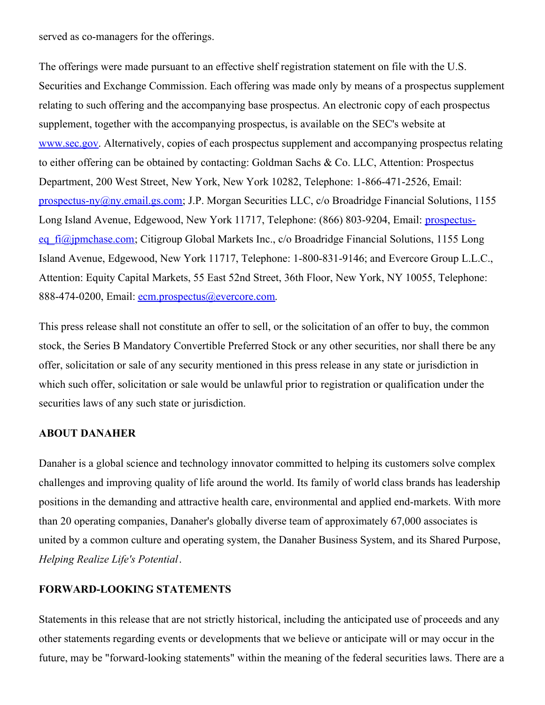served as co-managers for the offerings.

The offerings were made pursuant to an effective shelf registration statement on file with the U.S. Securities and Exchange Commission. Each offering was made only by means of a prospectus supplement relating to such offering and the accompanying base prospectus. An electronic copy of each prospectus supplement, together with the accompanying prospectus, is available on the SEC's website at [www.sec.gov](http://www.sec.gov). Alternatively, copies of each prospectus supplement and accompanying prospectus relating to either offering can be obtained by contacting: Goldman Sachs & Co. LLC, Attention: Prospectus Department, 200 West Street, New York, New York 10282, Telephone: 1-866-471-2526, Email: [prospectus-ny@ny.email.gs.com](mailto:prospectus-ny@ny.email.gs.com); J.P. Morgan Securities LLC, c/o Broadridge Financial Solutions, 1155 Long Island Avenue, Edgewood, New York 11717, Telephone: (866) 803-9204, Email: prospectuseq fi@jpmchase.com; Citigroup Global Markets Inc., c/o Broadridge Financial Solutions, 1155 Long Island Avenue, Edgewood, New York 11717, Telephone: 1-800-831-9146; and Evercore Group L.L.C., Attention: Equity Capital Markets, 55 East 52nd Street, 36th Floor, New York, NY 10055, Telephone: 888-474-0200, Email: [ecm.prospectus@evercore.com.](mailto:ecm.prospectus@evercore.com)

This press release shall not constitute an offer to sell, or the solicitation of an offer to buy, the common stock, the Series B Mandatory Convertible Preferred Stock or any other securities, nor shall there be any offer, solicitation or sale of any security mentioned in this press release in any state or jurisdiction in which such offer, solicitation or sale would be unlawful prior to registration or qualification under the securities laws of any such state or jurisdiction.

## **ABOUT DANAHER**

Danaher is a global science and technology innovator committed to helping its customers solve complex challenges and improving quality of life around the world. Its family of world class brands has leadership positions in the demanding and attractive health care, environmental and applied end-markets. With more than 20 operating companies, Danaher's globally diverse team of approximately 67,000 associates is united by a common culture and operating system, the Danaher Business System, and its Shared Purpose, *Helping Realize Life's Potential*.

## **FORWARD-LOOKING STATEMENTS**

Statements in this release that are not strictly historical, including the anticipated use of proceeds and any other statements regarding events or developments that we believe or anticipate will or may occur in the future, may be "forward-looking statements" within the meaning of the federal securities laws. There are a